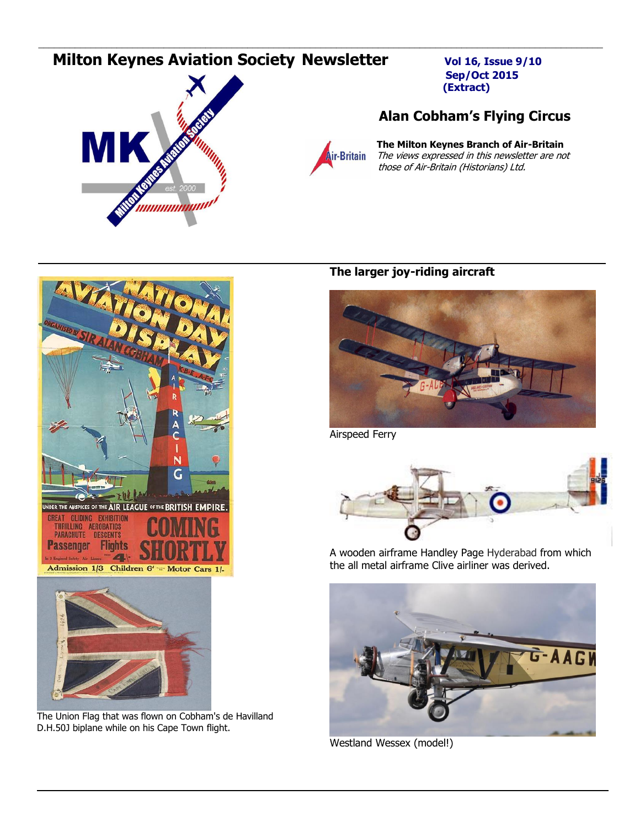# **Milton Keynes Aviation Society Newsletter** Vol 16, Issue 9/10



 **Sep/Oct 2015 (Extract)**

## **Alan Cobham's Flying Circus**



\_\_\_\_\_\_\_\_\_\_\_\_\_\_\_\_\_\_\_\_\_\_\_\_\_\_\_\_\_\_\_\_\_\_\_\_\_\_\_\_\_\_\_\_\_\_\_\_\_\_\_\_\_\_\_\_\_\_\_\_\_\_\_\_\_\_\_\_\_\_\_\_\_\_\_\_\_\_\_\_\_\_\_\_\_\_\_\_\_\_\_\_\_\_\_\_\_\_\_\_\_\_\_\_\_\_\_\_

*A*<br>**Air-Britain** *The views expressed in this newsletter are no*<br>**Air-Britain** *The views expressed in this newsletter are no*  The views expressed in this newsletter are not those of Air-Britain (Historians) Ltd.



The Union Flag that was flown on Cobham's de Havilland D.H.50J biplane while on his Cape Town flight.

## **The larger joy-riding aircraft**



Airspeed Ferry



A wooden airframe Handley Page Hyderabad from which the all metal airframe Clive airliner was derived.



Westland Wessex (model!)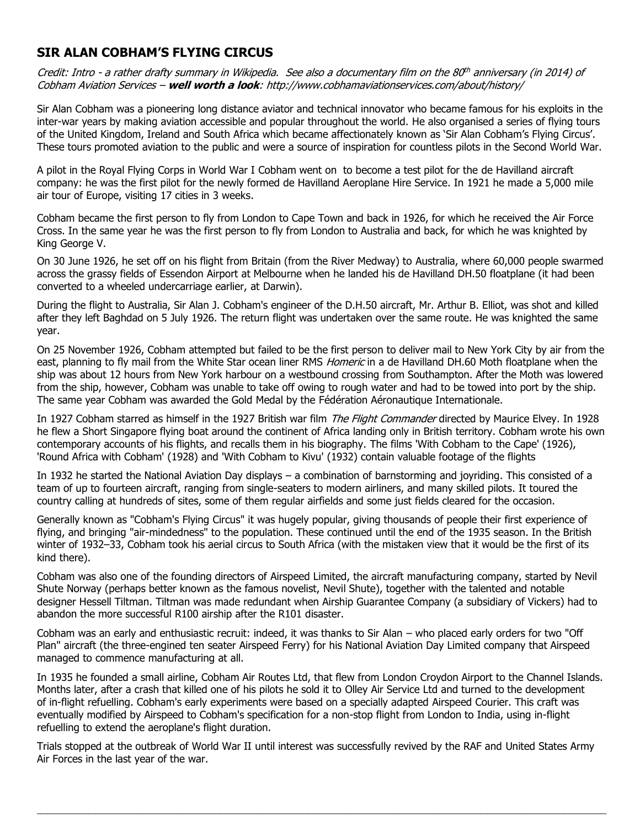## **SIR ALAN COBHAM'S FLYING CIRCUS**

Credit: Intro - a rather drafty summary in Wikipedia. See also a documentary film on the 80<sup>th</sup> anniversary (in 2014) of Cobham Aviation Services – **well worth a look**: http://www.cobhamaviationservices.com/about/history/

Sir Alan Cobham was a pioneering long distance aviator and technical innovator who became famous for his exploits in the inter-war years by making aviation accessible and popular throughout the world. He also organised a series of flying tours of the United Kingdom, Ireland and South Africa which became affectionately known as 'Sir Alan Cobham's Flying Circus'. These tours promoted aviation to the public and were a source of inspiration for countless pilots in the Second World War.

A pilot in the [Royal Flying Corps](https://en.wikipedia.org/wiki/Royal_Flying_Corps) in [World War I](https://en.wikipedia.org/wiki/World_War_I) Cobham went on to become a test pilot for the [de Havilland](https://en.wikipedia.org/wiki/De_Havilland) aircraft company: he was the first pilot for the newly formed de Havilland Aeroplane Hire Service. In 1921 he made a 5,000 mile air tour of [Europe,](https://en.wikipedia.org/wiki/Europe) visiting 17 cities in 3 weeks.

Cobham became the first person to fly from London to Cape Town and back in 1926, for which he received the Air Force Cross. In the same year he was the first person to fly from London to Australia and back, for which he was knighted by King George V.

On 30 June 1926, he set off on his flight from Britain (from the River Medway) to [Australia,](https://en.wikipedia.org/wiki/Australia) where 60,000 people swarmed across the grassy fields of [Essendon Airport](https://en.wikipedia.org/wiki/Essendon_Airport) at [Melbourne](https://en.wikipedia.org/wiki/Melbourne) when he landed his [de Havilland DH.50](https://en.wikipedia.org/wiki/De_Havilland_DH.50) [floatplane](https://en.wikipedia.org/wiki/Floatplane) (it had been converted to a wheeled undercarriage earlier, at [Darwin\)](https://en.wikipedia.org/wiki/Darwin,_Northern_Territory).

During the flight to Australia, Sir Alan J. Cobham's engineer of the D.H.50 aircraft, Mr. Arthur B. Elliot, was shot and killed after they left Baghdad on 5 July 1926. The return flight was undertaken over the same route. He was knighted the same year.

On 25 November 1926, Cobham attempted but failed to be the first person to deliver mail to New York City by air from the east, planning to fly mail from the [White Star](https://en.wikipedia.org/wiki/White_Star_Line) ocean liner RMS [Homeric](https://en.wikipedia.org/wiki/RMS_Homeric_(1922)) in a [de Havilland DH.60 Moth](https://en.wikipedia.org/wiki/De_Havilland_DH.60_Moth) floatplane when the ship was about 12 hours from New York harbour on a westbound crossing from Southampton. After the Moth was lowered from the ship, however, Cobham was unable to take off owing to rough water and had to be towed into port by the ship. The same year Cobham was awarded the Gold Medal by the [Fédération Aéronautique Internationale.](https://en.wikipedia.org/wiki/F%C3%A9d%C3%A9ration_A%C3%A9ronautique_Internationale)

In 1927 Cobham starred as himself in the 1927 British war film [The Flight Commander](https://en.wikipedia.org/wiki/The_Flight_Commander_(film)) directed by [Maurice Elvey.](https://en.wikipedia.org/wiki/Maurice_Elvey) In 1928 he flew a [Short Singapore](https://en.wikipedia.org/wiki/Short_Singapore) [flying boat](https://en.wikipedia.org/wiki/Flying_boat) around the continent of [Africa](https://en.wikipedia.org/wiki/Africa) landing only in British territory. Cobham wrote his own contemporary accounts of his flights, and recalls them in his biography. The films 'With Cobham to the Cape' (1926), 'Round Africa with Cobham' (1928) and 'With Cobham to Kivu' (1932) contain valuable footage of the flights

In 1932 he started the National Aviation Day displays – a combination of [barnstorming](https://en.wikipedia.org/wiki/Barnstorming) and joyriding. This consisted of a team of up to fourteen aircraft, ranging from single-seaters to modern airliners, and many skilled pilots. It toured the country calling at hundreds of sites, some of them regular airfields and some just fields cleared for the occasion.

Generally known as "Cobham's [Flying Circus"](https://en.wikipedia.org/wiki/Flying_circus) it was hugely popular, giving thousands of people their first experience of flying, and bringing "air-mindedness" to the population. These continued until the end of the 1935 season. In the British winter of 1932–33, Cobham took his aerial circus to South Africa (with the mistaken view that it would be the first of its kind there).

Cobham was also one of the founding directors of [Airspeed Limited,](https://en.wikipedia.org/wiki/Airspeed_Ltd.) the aircraft manufacturing company, started by Nevil Shute Norway (perhaps better known as the famous novelist, [Nevil Shute\)](https://en.wikipedia.org/wiki/Nevil_Shute), together with the talented and notable designer [Hessell Tiltman.](https://en.wikipedia.org/wiki/Hessell_Tiltman) Tiltman was made redundant when Airship Guarantee Company (a subsidiary of Vickers) had to abandon the more successful [R100](https://en.wikipedia.org/wiki/R100) airship after the [R101](https://en.wikipedia.org/wiki/R101) disaster.

Cobham was an early and enthusiastic recruit: indeed, it was thanks to Sir Alan – who placed early orders for two "Off Plan" aircraft (the three-engined ten seater [Airspeed Ferry\)](https://en.wikipedia.org/wiki/Airspeed_Ferry) for his National Aviation Day Limited company that Airspeed managed to commence manufacturing at all.

In 1935 he founded a small airline, Cobham Air Routes Ltd, that flew from London [Croydon Airport](https://en.wikipedia.org/wiki/Croydon_Airport) to the [Channel Islands.](https://en.wikipedia.org/wiki/Channel_Islands) Months later, after a crash that killed one of his pilots he sold it to [Olley Air Service Ltd](https://en.wikipedia.org/w/index.php?title=Olley_Air_Service_Ltd&action=edit&redlink=1) and turned to the development of [in-flight refuelling.](https://en.wikipedia.org/wiki/Inflight_refueling) Cobham's early experiments were based on a specially adapted [Airspeed Courier.](https://en.wikipedia.org/wiki/Airspeed_Courier) This craft was eventually modified by Airspeed to Cobham's specification for a non-stop flight from London to India, using in-flight refuelling to extend the aeroplane's flight duration.

Trials stopped at the outbreak of [World War II](https://en.wikipedia.org/wiki/World_War_II) until interest was successfully revived by the RAF and [United States Army](https://en.wikipedia.org/wiki/United_States_Army_Air_Forces)  [Air Forces](https://en.wikipedia.org/wiki/United_States_Army_Air_Forces) in the last year of the war.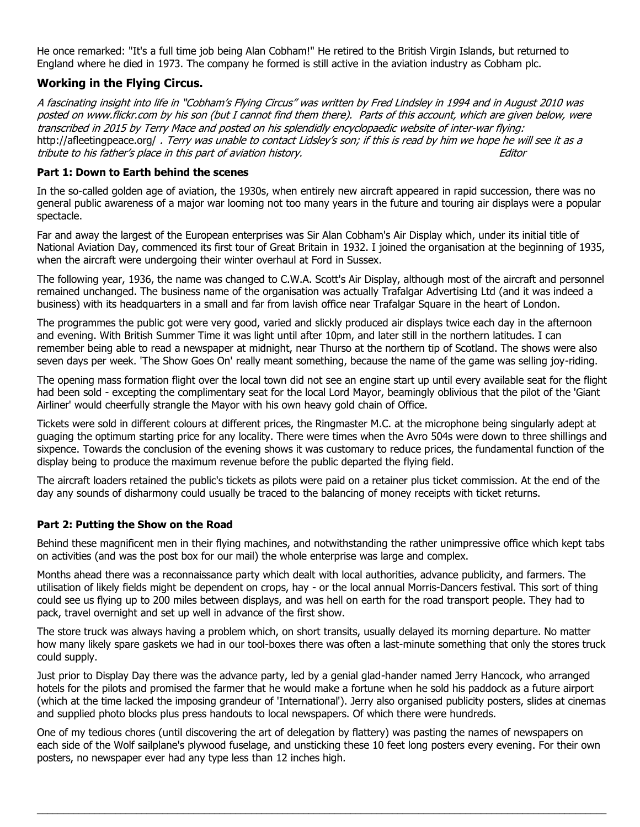He once remarked: "It's a full time job being Alan Cobham!" He retired to the [British Virgin Islands,](https://en.wikipedia.org/wiki/British_Virgin_Islands) but returned to England where he died in 1973. The company he formed is still active in the aviation industry as Cobham plc.

## **Working in the Flying Circus.**

A fascinating insight into life in "Cobham's Flying Circus" was written by Fred Lindsley in 1994 and in August 2010 was posted on www.flickr.com by his son (but I cannot find them there). Parts of this account, which are given below, were transcribed in 2015 by Terry Mace and posted on his splendidly encyclopaedic website of inter-war flying: http://afleetingpeace.org/, Terry was unable to contact Lidsley's son; if this is read by him we hope he will see it as a tribute to his father's place in this part of aviation history. Editor

### **Part 1: Down to Earth behind the scenes**

In the so-called golden age of aviation, the 1930s, when entirely new aircraft appeared in rapid succession, there was no general public awareness of a major war looming not too many years in the future and touring air displays were a popular spectacle.

Far and away the largest of the European enterprises was Sir Alan Cobham's Air Display which, under its initial title of National Aviation Day, commenced its first tour of Great Britain in 1932. I joined the organisation at the beginning of 1935, when the aircraft were undergoing their winter overhaul at Ford in Sussex.

The following year, 1936, the name was changed to C.W.A. Scott's Air Display, although most of the aircraft and personnel remained unchanged. The business name of the organisation was actually Trafalgar Advertising Ltd (and it was indeed a business) with its headquarters in a small and far from lavish office near Trafalgar Square in the heart of London.

The programmes the public got were very good, varied and slickly produced air displays twice each day in the afternoon and evening. With British Summer Time it was light until after 10pm, and later still in the northern latitudes. I can remember being able to read a newspaper at midnight, near Thurso at the northern tip of Scotland. The shows were also seven days per week. 'The Show Goes On' really meant something, because the name of the game was selling joy-riding.

The opening mass formation flight over the local town did not see an engine start up until every available seat for the flight had been sold - excepting the complimentary seat for the local Lord Mayor, beamingly oblivious that the pilot of the 'Giant Airliner' would cheerfully strangle the Mayor with his own heavy gold chain of Office.

Tickets were sold in different colours at different prices, the Ringmaster M.C. at the microphone being singularly adept at guaging the optimum starting price for any locality. There were times when the Avro 504s were down to three shillings and sixpence. Towards the conclusion of the evening shows it was customary to reduce prices, the fundamental function of the display being to produce the maximum revenue before the public departed the flying field.

The aircraft loaders retained the public's tickets as pilots were paid on a retainer plus ticket commission. At the end of the day any sounds of disharmony could usually be traced to the balancing of money receipts with ticket returns.

## **Part 2: Putting the Show on the Road**

Behind these magnificent men in their flying machines, and notwithstanding the rather unimpressive office which kept tabs on activities (and was the post box for our mail) the whole enterprise was large and complex.

Months ahead there was a reconnaissance party which dealt with local authorities, advance publicity, and farmers. The utilisation of likely fields might be dependent on crops, hay - or the local annual Morris-Dancers festival. This sort of thing could see us flying up to 200 miles between displays, and was hell on earth for the road transport people. They had to pack, travel overnight and set up well in advance of the first show.

The store truck was always having a problem which, on short transits, usually delayed its morning departure. No matter how many likely spare gaskets we had in our tool-boxes there was often a last-minute something that only the stores truck could supply.

Just prior to Display Day there was the advance party, led by a genial glad-hander named Jerry Hancock, who arranged hotels for the pilots and promised the farmer that he would make a fortune when he sold his paddock as a future airport (which at the time lacked the imposing grandeur of 'International'). Jerry also organised publicity posters, slides at cinemas and supplied photo blocks plus press handouts to local newspapers. Of which there were hundreds.

One of my tedious chores (until discovering the art of delegation by flattery) was pasting the names of newspapers on each side of the Wolf sailplane's plywood fuselage, and unsticking these 10 feet long posters every evening. For their own posters, no newspaper ever had any type less than 12 inches high.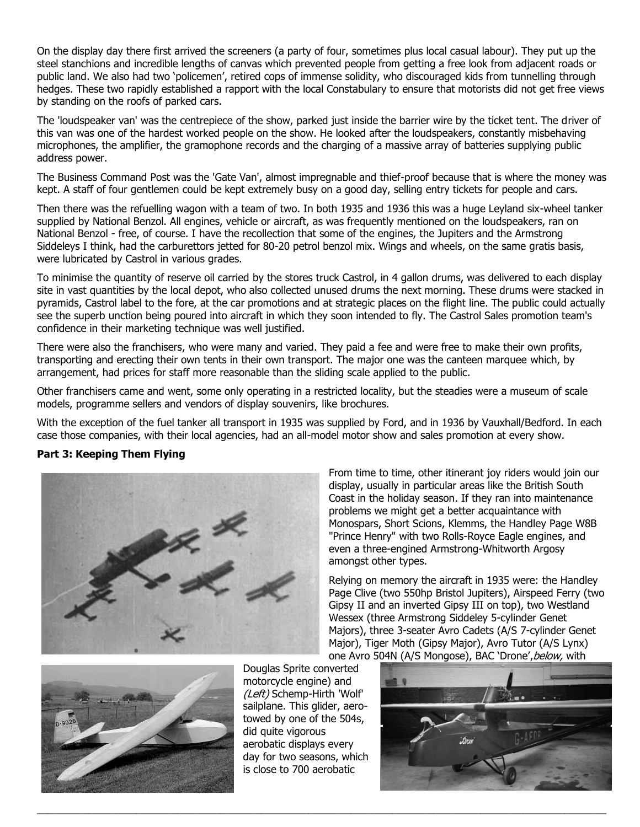On the display day there first arrived the screeners (a party of four, sometimes plus local casual labour). They put up the steel stanchions and incredible lengths of canvas which prevented people from getting a free look from adjacent roads or public land. We also had two 'policemen', retired cops of immense solidity, who discouraged kids from tunnelling through hedges. These two rapidly established a rapport with the local Constabulary to ensure that motorists did not get free views by standing on the roofs of parked cars.

The 'loudspeaker van' was the centrepiece of the show, parked just inside the barrier wire by the ticket tent. The driver of this van was one of the hardest worked people on the show. He looked after the loudspeakers, constantly misbehaving microphones, the amplifier, the gramophone records and the charging of a massive array of batteries supplying public address power.

The Business Command Post was the 'Gate Van', almost impregnable and thief-proof because that is where the money was kept. A staff of four gentlemen could be kept extremely busy on a good day, selling entry tickets for people and cars.

Then there was the refuelling wagon with a team of two. In both 1935 and 1936 this was a huge Leyland six-wheel tanker supplied by National Benzol. All engines, vehicle or aircraft, as was frequently mentioned on the loudspeakers, ran on National Benzol - free, of course. I have the recollection that some of the engines, the Jupiters and the Armstrong Siddeleys I think, had the carburettors jetted for 80-20 petrol benzol mix. Wings and wheels, on the same gratis basis, were lubricated by Castrol in various grades.

To minimise the quantity of reserve oil carried by the stores truck Castrol, in 4 gallon drums, was delivered to each display site in vast quantities by the local depot, who also collected unused drums the next morning. These drums were stacked in pyramids, Castrol label to the fore, at the car promotions and at strategic places on the flight line. The public could actually see the superb unction being poured into aircraft in which they soon intended to fly. The Castrol Sales promotion team's confidence in their marketing technique was well justified.

There were also the franchisers, who were many and varied. They paid a fee and were free to make their own profits, transporting and erecting their own tents in their own transport. The major one was the canteen marquee which, by arrangement, had prices for staff more reasonable than the sliding scale applied to the public.

Other franchisers came and went, some only operating in a restricted locality, but the steadies were a museum of scale models, programme sellers and vendors of display souvenirs, like brochures.

With the exception of the fuel tanker all transport in 1935 was supplied by Ford, and in 1936 by Vauxhall/Bedford. In each case those companies, with their local agencies, had an all-model motor show and sales promotion at every show.

### **Part 3: Keeping Them Flying**



From time to time, other itinerant joy riders would join our display, usually in particular areas like the British South Coast in the holiday season. If they ran into maintenance problems we might get a better acquaintance with Monospars, Short Scions, Klemms, the Handley Page W8B "Prince Henry" with two Rolls-Royce Eagle engines, and even a three-engined Armstrong-Whitworth Argosy amongst other types.

Relying on memory the aircraft in 1935 were: the Handley Page Clive (two 550hp Bristol Jupiters), Airspeed Ferry (two Gipsy II and an inverted Gipsy III on top), two Westland Wessex (three Armstrong Siddeley 5-cylinder Genet Majors), three 3-seater Avro Cadets (A/S 7-cylinder Genet Major), Tiger Moth (Gipsy Major), Avro Tutor (A/S Lynx) one Avro 504N (A/S Mongose), BAC 'Drone', below, with



Douglas Sprite converted motorcycle engine) and (Left) Schemp-Hirth 'Wolf' sailplane. This glider, aerotowed by one of the 504s, did quite vigorous aerobatic displays every day for two seasons, which is close to 700 aerobatic

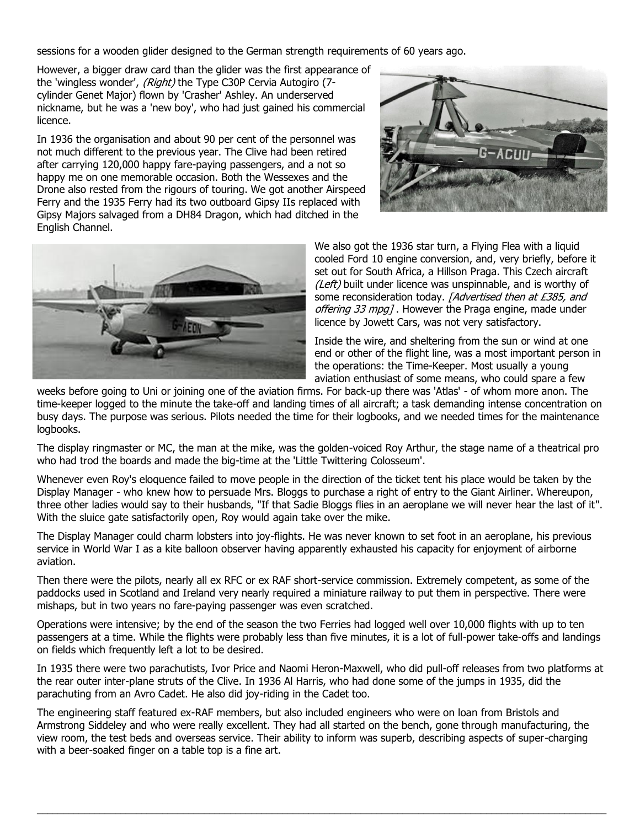sessions for a wooden glider designed to the German strength requirements of 60 years ago.

However, a bigger draw card than the glider was the first appearance of the 'wingless wonder', (Right) the Type C30P Cervia Autogiro (7cylinder Genet Major) flown by 'Crasher' Ashley. An underserved nickname, but he was a 'new boy', who had just gained his commercial licence.

In 1936 the organisation and about 90 per cent of the personnel was not much different to the previous year. The Clive had been retired after carrying 120,000 happy fare-paying passengers, and a not so happy me on one memorable occasion. Both the Wessexes and the Drone also rested from the rigours of touring. We got another Airspeed Ferry and the 1935 Ferry had its two outboard Gipsy IIs replaced with Gipsy Majors salvaged from a DH84 Dragon, which had ditched in the English Channel.





We also got the 1936 star turn, a Flying Flea with a liquid cooled Ford 10 engine conversion, and, very briefly, before it set out for South Africa, a Hillson Praga. This Czech aircraft (Left) built under licence was unspinnable, and is worthy of some reconsideration today. [Advertised then at £385, and offering 33 mpg]. However the Praga engine, made under licence by Jowett Cars, was not very satisfactory.

Inside the wire, and sheltering from the sun or wind at one end or other of the flight line, was a most important person in the operations: the Time-Keeper. Most usually a young aviation enthusiast of some means, who could spare a few

weeks before going to Uni or joining one of the aviation firms. For back-up there was 'Atlas' - of whom more anon. The time-keeper logged to the minute the take-off and landing times of all aircraft; a task demanding intense concentration on busy days. The purpose was serious. Pilots needed the time for their logbooks, and we needed times for the maintenance logbooks.

The display ringmaster or MC, the man at the mike, was the golden-voiced Roy Arthur, the stage name of a theatrical pro who had trod the boards and made the big-time at the 'Little Twittering Colosseum'.

Whenever even Roy's eloquence failed to move people in the direction of the ticket tent his place would be taken by the Display Manager - who knew how to persuade Mrs. Bloggs to purchase a right of entry to the Giant Airliner. Whereupon, three other ladies would say to their husbands, "If that Sadie Bloggs flies in an aeroplane we will never hear the last of it". With the sluice gate satisfactorily open, Roy would again take over the mike.

The Display Manager could charm lobsters into joy-flights. He was never known to set foot in an aeroplane, his previous service in World War I as a kite balloon observer having apparently exhausted his capacity for enjoyment of airborne aviation.

Then there were the pilots, nearly all ex RFC or ex RAF short-service commission. Extremely competent, as some of the paddocks used in Scotland and Ireland very nearly required a miniature railway to put them in perspective. There were mishaps, but in two years no fare-paying passenger was even scratched.

Operations were intensive; by the end of the season the two Ferries had logged well over 10,000 flights with up to ten passengers at a time. While the flights were probably less than five minutes, it is a lot of full-power take-offs and landings on fields which frequently left a lot to be desired.

In 1935 there were two parachutists, Ivor Price and Naomi Heron-Maxwell, who did pull-off releases from two platforms at the rear outer inter-plane struts of the Clive. In 1936 Al Harris, who had done some of the jumps in 1935, did the parachuting from an Avro Cadet. He also did joy-riding in the Cadet too.

The engineering staff featured ex-RAF members, but also included engineers who were on loan from Bristols and Armstrong Siddeley and who were really excellent. They had all started on the bench, gone through manufacturing, the view room, the test beds and overseas service. Their ability to inform was superb, describing aspects of super-charging with a beer-soaked finger on a table top is a fine art.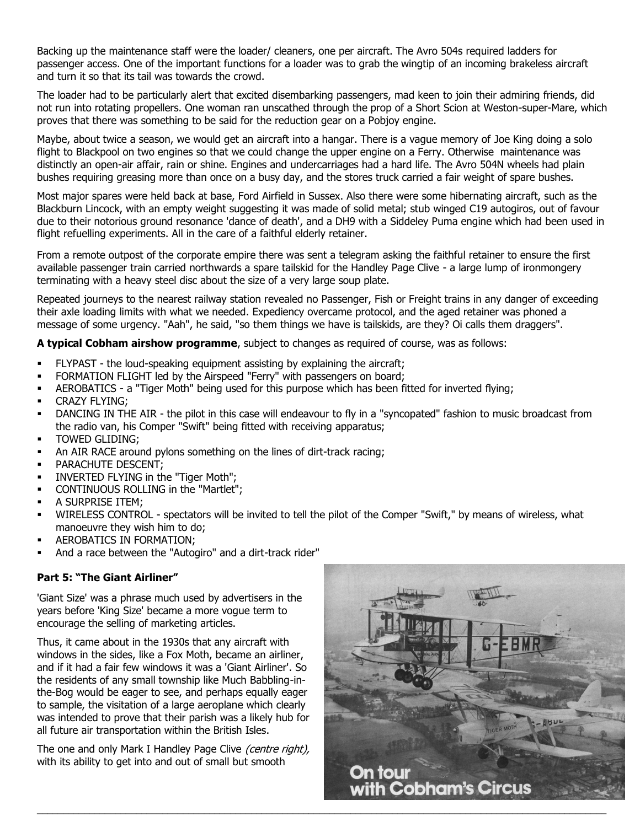Backing up the maintenance staff were the loader/ cleaners, one per aircraft. The Avro 504s required ladders for passenger access. One of the important functions for a loader was to grab the wingtip of an incoming brakeless aircraft and turn it so that its tail was towards the crowd.

The loader had to be particularly alert that excited disembarking passengers, mad keen to join their admiring friends, did not run into rotating propellers. One woman ran unscathed through the prop of a Short Scion at Weston-super-Mare, which proves that there was something to be said for the reduction gear on a Pobjoy engine.

Maybe, about twice a season, we would get an aircraft into a hangar. There is a vague memory of Joe King doing a solo flight to Blackpool on two engines so that we could change the upper engine on a Ferry. Otherwise maintenance was distinctly an open-air affair, rain or shine. Engines and undercarriages had a hard life. The Avro 504N wheels had plain bushes requiring greasing more than once on a busy day, and the stores truck carried a fair weight of spare bushes.

Most major spares were held back at base, Ford Airfield in Sussex. Also there were some hibernating aircraft, such as the Blackburn Lincock, with an empty weight suggesting it was made of solid metal; stub winged C19 autogiros, out of favour due to their notorious ground resonance 'dance of death', and a DH9 with a Siddeley Puma engine which had been used in flight refuelling experiments. All in the care of a faithful elderly retainer.

From a remote outpost of the corporate empire there was sent a telegram asking the faithful retainer to ensure the first available passenger train carried northwards a spare tailskid for the Handley Page Clive - a large lump of ironmongery terminating with a heavy steel disc about the size of a very large soup plate.

Repeated journeys to the nearest railway station revealed no Passenger, Fish or Freight trains in any danger of exceeding their axle loading limits with what we needed. Expediency overcame protocol, and the aged retainer was phoned a message of some urgency. "Aah", he said, "so them things we have is tailskids, are they? Oi calls them draggers".

#### **A typical Cobham airshow programme**, subject to changes as required of course, was as follows:

- FLYPAST the loud-speaking equipment assisting by explaining the aircraft;
- FORMATION FLIGHT led by the Airspeed "Ferry" with passengers on board;
- AEROBATICS a "Tiger Moth" being used for this purpose which has been fitted for inverted flying;
- CRAZY FLYING;
- DANCING IN THE AIR the pilot in this case will endeavour to fly in a "syncopated" fashion to music broadcast from the radio van, his Comper "Swift" being fitted with receiving apparatus;
- **TOWED GLIDING;**
- An AIR RACE around pylons something on the lines of dirt-track racing;
- PARACHUTE DESCENT;
- INVERTED FLYING in the "Tiger Moth";
- CONTINUOUS ROLLING in the "Martlet";
- A SURPRISE ITEM:
- WIRELESS CONTROL spectators will be invited to tell the pilot of the Comper "Swift," by means of wireless, what manoeuvre they wish him to do;
- AEROBATICS IN FORMATION;
- And a race between the "Autogiro" and a dirt-track rider"

### **Part 5: "The Giant Airliner"**

'Giant Size' was a phrase much used by advertisers in the years before 'King Size' became a more vogue term to encourage the selling of marketing articles.

Thus, it came about in the 1930s that any aircraft with windows in the sides, like a Fox Moth, became an airliner, and if it had a fair few windows it was a 'Giant Airliner'. So the residents of any small township like Much Babbling-inthe-Bog would be eager to see, and perhaps equally eager to sample, the visitation of a large aeroplane which clearly was intended to prove that their parish was a likely hub for all future air transportation within the British Isles.

The one and only Mark I Handley Page Clive (centre right), with its ability to get into and out of small but smooth

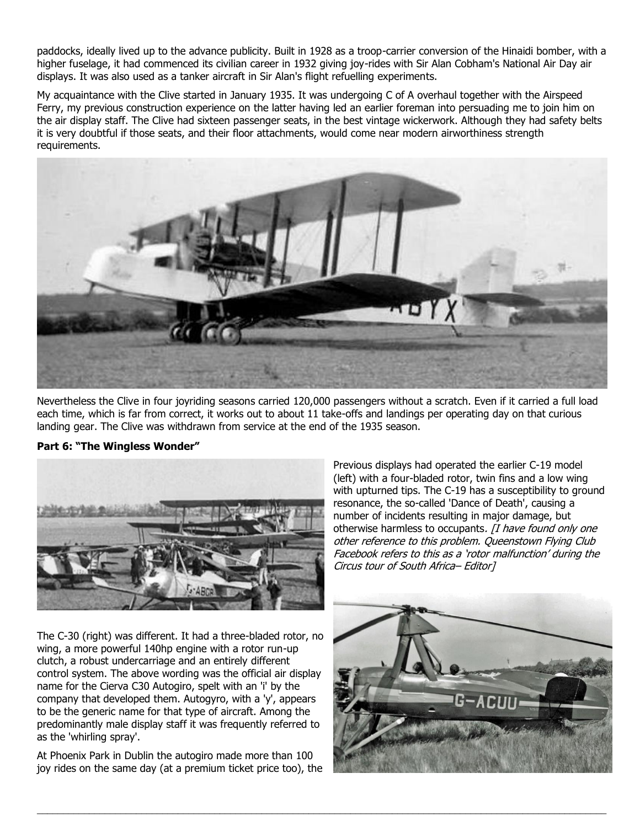paddocks, ideally lived up to the advance publicity. Built in 1928 as a troop-carrier conversion of the Hinaidi bomber, with a higher fuselage, it had commenced its civilian career in 1932 giving joy-rides with Sir Alan Cobham's National Air Day air displays. It was also used as a tanker aircraft in Sir Alan's flight refuelling experiments.

My acquaintance with the Clive started in January 1935. It was undergoing C of A overhaul together with the Airspeed Ferry, my previous construction experience on the latter having led an earlier foreman into persuading me to join him on the air display staff. The Clive had sixteen passenger seats, in the best vintage wickerwork. Although they had safety belts it is very doubtful if those seats, and their floor attachments, would come near modern airworthiness strength requirements.



Nevertheless the Clive in four joyriding seasons carried 120,000 passengers without a scratch. Even if it carried a full load each time, which is far from correct, it works out to about 11 take-offs and landings per operating day on that curious landing gear. The Clive was withdrawn from service at the end of the 1935 season.

\_\_\_\_\_\_\_\_\_\_\_\_\_\_\_\_\_\_\_\_\_\_\_\_\_\_\_\_\_\_\_\_\_\_\_\_\_\_\_\_\_\_\_\_\_\_\_\_\_\_\_\_\_\_\_\_\_\_\_\_\_\_\_\_\_\_\_\_\_\_\_\_\_\_\_\_\_\_\_\_\_\_\_\_\_\_\_\_\_\_\_\_\_\_\_\_\_\_\_\_\_\_\_\_\_\_\_\_\_





The C-30 (right) was different. It had a three-bladed rotor, no wing, a more powerful 140hp engine with a rotor run-up clutch, a robust undercarriage and an entirely different control system. The above wording was the official air display name for the Cierva C30 Autogiro, spelt with an 'i' by the company that developed them. Autogyro, with a 'y', appears to be the generic name for that type of aircraft. Among the predominantly male display staff it was frequently referred to as the 'whirling spray'.

At Phoenix Park in Dublin the autogiro made more than 100 joy rides on the same day (at a premium ticket price too), the Previous displays had operated the earlier C-19 model (left) with a four-bladed rotor, twin fins and a low wing with upturned tips. The C-19 has a susceptibility to ground resonance, the so-called 'Dance of Death', causing a number of incidents resulting in major damage, but otherwise harmless to occupants. [I have found only one other reference to this problem. Queenstown Flying Club Facebook refers to this as a 'rotor malfunction' during the Circus tour of South Africa– Editor]

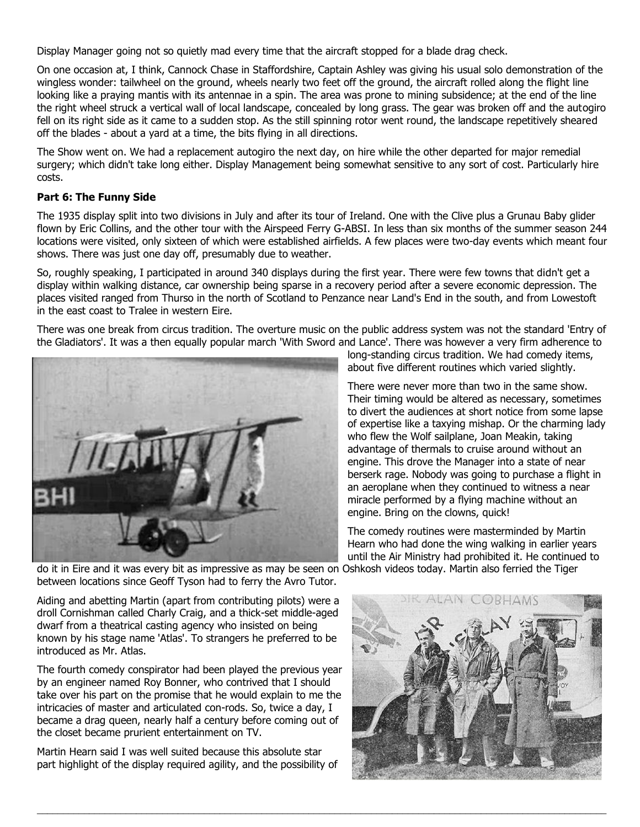Display Manager going not so quietly mad every time that the aircraft stopped for a blade drag check.

On one occasion at, I think, Cannock Chase in Staffordshire, Captain Ashley was giving his usual solo demonstration of the wingless wonder: tailwheel on the ground, wheels nearly two feet off the ground, the aircraft rolled along the flight line looking like a praying mantis with its antennae in a spin. The area was prone to mining subsidence; at the end of the line the right wheel struck a vertical wall of local landscape, concealed by long grass. The gear was broken off and the autogiro fell on its right side as it came to a sudden stop. As the still spinning rotor went round, the landscape repetitively sheared off the blades - about a yard at a time, the bits flying in all directions.

The Show went on. We had a replacement autogiro the next day, on hire while the other departed for major remedial surgery; which didn't take long either. Display Management being somewhat sensitive to any sort of cost. Particularly hire costs.

### **Part 6: The Funny Side**

The 1935 display split into two divisions in July and after its tour of Ireland. One with the Clive plus a Grunau Baby glider flown by Eric Collins, and the other tour with the Airspeed Ferry G-ABSI. In less than six months of the summer season 244 locations were visited, only sixteen of which were established airfields. A few places were two-day events which meant four shows. There was just one day off, presumably due to weather.

So, roughly speaking, I participated in around 340 displays during the first year. There were few towns that didn't get a display within walking distance, car ownership being sparse in a recovery period after a severe economic depression. The places visited ranged from Thurso in the north of Scotland to Penzance near Land's End in the south, and from Lowestoft in the east coast to Tralee in western Eire.

There was one break from circus tradition. The overture music on the public address system was not the standard 'Entry of the Gladiators'. It was a then equally popular march 'With Sword and Lance'. There was however a very firm adherence to



long-standing circus tradition. We had comedy items, about five different routines which varied slightly.

There were never more than two in the same show. Their timing would be altered as necessary, sometimes to divert the audiences at short notice from some lapse of expertise like a taxying mishap. Or the charming lady who flew the Wolf sailplane, Joan Meakin, taking advantage of thermals to cruise around without an engine. This drove the Manager into a state of near berserk rage. Nobody was going to purchase a flight in an aeroplane when they continued to witness a near miracle performed by a flying machine without an engine. Bring on the clowns, quick!

The comedy routines were masterminded by Martin Hearn who had done the wing walking in earlier years until the Air Ministry had prohibited it. He continued to

do it in Eire and it was every bit as impressive as may be seen on Oshkosh videos today. Martin also ferried the Tiger between locations since Geoff Tyson had to ferry the Avro Tutor.

\_\_\_\_\_\_\_\_\_\_\_\_\_\_\_\_\_\_\_\_\_\_\_\_\_\_\_\_\_\_\_\_\_\_\_\_\_\_\_\_\_\_\_\_\_\_\_\_\_\_\_\_\_\_\_\_\_\_\_\_\_\_\_\_\_\_\_\_\_\_\_\_\_\_\_\_\_\_\_\_\_\_\_\_\_\_\_\_\_\_\_\_\_\_\_\_\_\_\_\_\_\_\_\_\_\_\_\_\_

Aiding and abetting Martin (apart from contributing pilots) were a droll Cornishman called Charly Craig, and a thick-set middle-aged dwarf from a theatrical casting agency who insisted on being known by his stage name 'Atlas'. To strangers he preferred to be introduced as Mr. Atlas.

The fourth comedy conspirator had been played the previous year by an engineer named Roy Bonner, who contrived that I should take over his part on the promise that he would explain to me the intricacies of master and articulated con-rods. So, twice a day, I became a drag queen, nearly half a century before coming out of the closet became prurient entertainment on TV.

Martin Hearn said I was well suited because this absolute star part highlight of the display required agility, and the possibility of